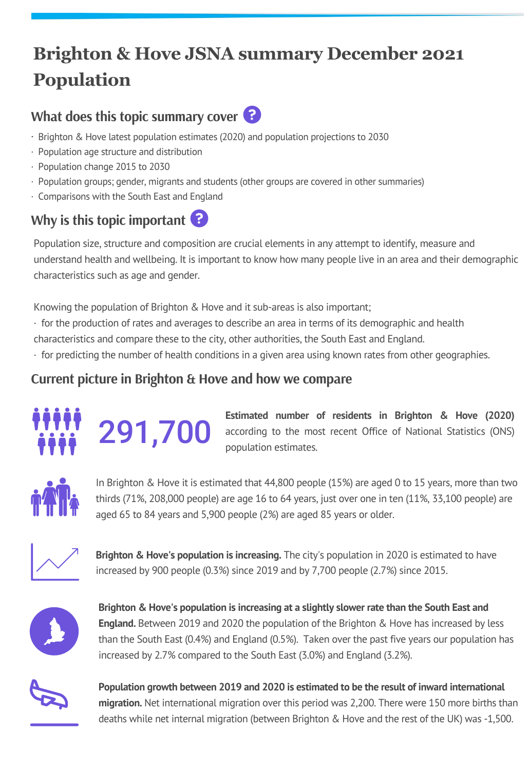# **Brighton & Hove JSNA summary December 2021 Population**

## **What does this topic summary cover**



- · Brighton & Hove latest population estimates (2020) and population projections to 2030
- · Population age structure and distribution
- · Population change 2015 to 2030
- · Population groups; gender, migrants and students (other groups are covered in other summaries)
- · Comparisons with the South East and England

## **Why is this topic important**

Population size, structure and composition are crucial elements in any attempt to identify, measure and understand health and wellbeing. It is important to know how many people live in an area and their demographic characteristics such as age and gender.

Knowing the population of Brighton & Hove and it sub-areas is also important;

- · for the production of rates and averages to describe an area in terms of its demographic and health
- characteristics and compare these to the city, other authorities, the South East and England.
- · for predicting the number of health conditions in a given area using known rates from other geographies.

## **Current picture in Brighton & Hove and how we compare**



**Estimated number of residents in Brighton & Hove (2020)** 291,700 according to the most recent Office of National Statistics (ONS) population estimates.



In Brighton & Hove it is estimated that 44,800 people (15%) are aged 0 to 15 years, more than two thirds (71%, 208,000 people) are age 16 to 64 years, just over one in ten (11%, 33,100 people) are aged 65 to 84 years and 5,900 people (2%) are aged 85 years or older.



**Brighton & Hove's population is increasing.** The city's population in 2020 is estimated to have increased by 900 people (0.3%) since 2019 and by 7,700 people (2.7%) since 2015.



**Brighton & Hove's population is increasing at a slightly slower rate than the South East and England.** Between 2019 and 2020 the population of the Brighton & Hove has increased by less than the South East (0.4%) and England (0.5%). Taken over the past five years our population has increased by 2.7% compared to the South East (3.0%) and England (3.2%).



**Population growth between 2019 and 2020 is estimated to be the result of inward international migration.** Net international migration over this period was 2,200. There were 150 more births than deaths while net internal migration (between Brighton & Hove and the rest of the UK) was -1,500.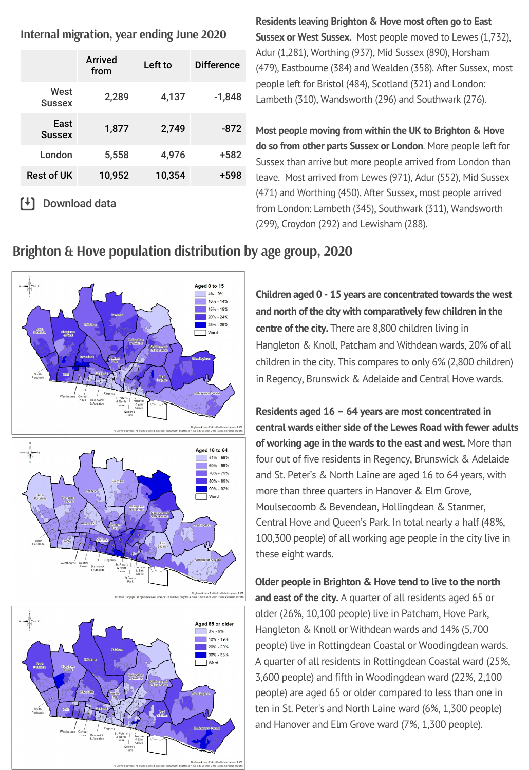**Internal [migration,](https://www.ons.gov.uk/peoplepopulationandcommunity/populationandmigration/migrationwithintheuk/datasets/matricesofinternalmigrationmovesbetweenlocalauthoritiesandregionsincludingthecountriesofwalesscotlandandnorthernireland) year ending June 2020**

|                       | Arrived<br>from | Left to | <b>Difference</b> |
|-----------------------|-----------------|---------|-------------------|
| West<br><b>Sussex</b> | 2,289           | 4,137   | $-1,848$          |
| East<br><b>Sussex</b> | 1,877           | 2,749   | -872              |
| London                | 5,558           | 4,976   | +582              |
| <b>Rest of UK</b>     | 10,952          | 10,354  | +598              |
|                       |                 |         |                   |

[<sup>↓</sup>] Download data

**Residents leaving Brighton & Hove most often go to East Sussex or West Sussex.** Most people moved to Lewes (1,732), Adur (1,281), Worthing (937), Mid Sussex (890), Horsham (479), Eastbourne (384) and Wealden (358). After Sussex, most people left for Bristol (484), Scotland (321) and London: Lambeth (310), Wandsworth (296) and Southwark (276).

**Most people moving from within the UK to Brighton & Hove do so from other parts Sussex or London**. More people left for Sussex than arrive but more people arrived from London than leave. Most arrived from Lewes (971), Adur (552), Mid Sussex (471) and Worthing (450). After Sussex, most people arrived from London: Lambeth (345), Southwark (311), Wandsworth (299), Croydon (292) and Lewisham (288).



### **Brighton & Hove population [distribution](https://www.ons.gov.uk/peoplepopulationandcommunity/populationandmigration/populationestimates/datasets/lowersuperoutputareamidyearpopulationestimatesnationalstatistics) by age group, 2020**

Aged 65 or older  $3% - 9%$ 10% - 19% 20% - 29% 30% - 35% Ward

**Children aged 0 - 15 years are concentrated towards the west and north of the city with comparatively few children in the centre of the city.** There are 8,800 children living in Hangleton & Knoll, Patcham and Withdean wards, 20% of all children in the city. This compares to only 6% (2,800 children) in Regency, Brunswick & Adelaide and Central Hove wards.

**Residents aged 16 – 64 years are most concentrated in central wards either side of the Lewes Road with fewer adults of working age in the wards to the east and west.** More than four out of five residents in Regency, Brunswick & Adelaide and St. Peter's & North Laine are aged 16 to 64 years, with more than three quarters in Hanover & Elm Grove, Moulsecoomb & Bevendean, Hollingdean & Stanmer, Central Hove and Queen's Park. In total nearly a half (48%, 100,300 people) of all working age people in the city live in these eight wards.

**Older people in Brighton & Hove tend to live to the north and east of the city.** A quarter of all residents aged 65 or older (26%, 10,100 people) live in Patcham, Hove Park, Hangleton & Knoll or Withdean wards and 14% (5,700 people) live in Rottingdean Coastal or Woodingdean wards. A quarter of all residents in Rottingdean Coastal ward (25%, 3,600 people) and fifth in Woodingdean ward (22%, 2,100 people) are aged 65 or older compared to less than one in ten in St. Peter's and North Laine ward (6%, 1,300 people) and Hanover and Elm Grove ward (7%, 1,300 people).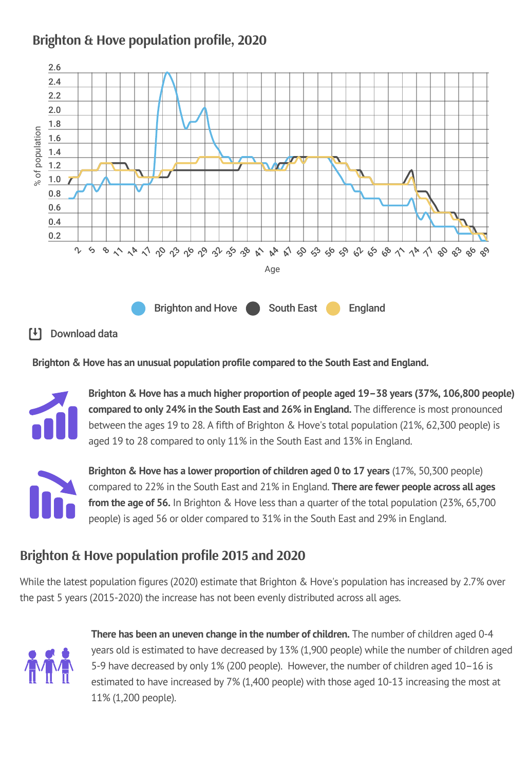### **Brighton & Hove [population](https://www.ons.gov.uk/peoplepopulationandcommunity/populationandmigration/populationestimates/datasets/populationestimatesforukenglandandwalesscotlandandnorthernireland) profile, 2020**



### Download data

**Brighton & Hove has an unusual population profile compared to the South East and England.**



**Brighton & Hove has a much higher proportion of people aged 19–38 years (37%, 106,800 people) compared to only 24% in the South East and 26% in England.** The difference is most pronounced between the ages 19 to 28. A fifth of Brighton & Hove's total population (21%, 62,300 people) is aged 19 to 28 compared to only 11% in the South East and 13% in England.



**Brighton & Hove has a lower proportion of children aged 0 to 17 years** (17%, 50,300 people) compared to 22% in the South East and 21% in England. **There are fewer people across all ages from the age of 56.** In Brighton & Hove less than a quarter of the total population (23%, 65,700 people) is aged 56 or older compared to 31% in the South East and 29% in England.

### **Brighton & Hove [population](https://www.ons.gov.uk/peoplepopulationandcommunity/populationandmigration/populationestimates/bulletins/annualmidyearpopulationestimates/previousReleases) profile 2015 and 2020**

While the latest population figures (2020) estimate that Brighton & Hove's population has increased by 2.7% over the past 5 years (2015-2020) the increase has not been evenly distributed across all ages.



**There has been an uneven change in the number of children.** The number of children aged 0-4 years old is estimated to have decreased by 13% (1,900 people) while the number of children aged 5-9 have decreased by only 1% (200 people). However, the number of children aged 10–16 is estimated to have increased by 7% (1,400 people) with those aged 10-13 increasing the most at 11% (1,200 people).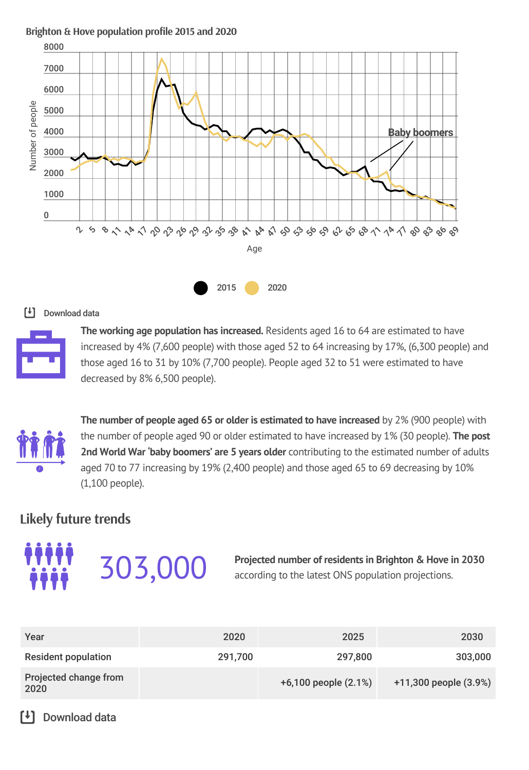### **Brighton & Hove [population](https://www.ons.gov.uk/peoplepopulationandcommunity/populationandmigration/populationestimates/bulletins/annualmidyearpopulationestimates/previousReleases) profile 2015 and 2020**



### [<sup>↓</sup>] Download data



**The working age population has increased.** Residents aged 16 to 64 are estimated to have increased by 4% (7,600 people) with those aged 52 to 64 increasing by 17%, (6,300 people) and those aged 16 to 31 by 10% (7,700 people). People aged 32 to 51 were estimated to have decreased by 8% 6,500 people).



**The number of people aged 65 or older is estimated to have increased** by 2% (900 people) with the number of people aged 90 or older estimated to have increased by 1% (30 people). **The post 2nd World War 'baby boomers' are 5 years older** contributing to the estimated number of adults aged 70 to 77 increasing by 19% (2,400 people) and those aged 65 to 69 decreasing by 10% (1,100 people).

### **Likely future trends**



**Projected number of residents in Brighton & Hove in 2030** according to the latest ONS population projections.

| Year                          | 2020    | 2025                 | 2030                  |
|-------------------------------|---------|----------------------|-----------------------|
| <b>Resident population</b>    | 291,700 | 297,800              | 303,000               |
| Projected change from<br>2020 |         | +6,100 people (2.1%) | +11,300 people (3.9%) |

### $\mathsf{F}$ Download data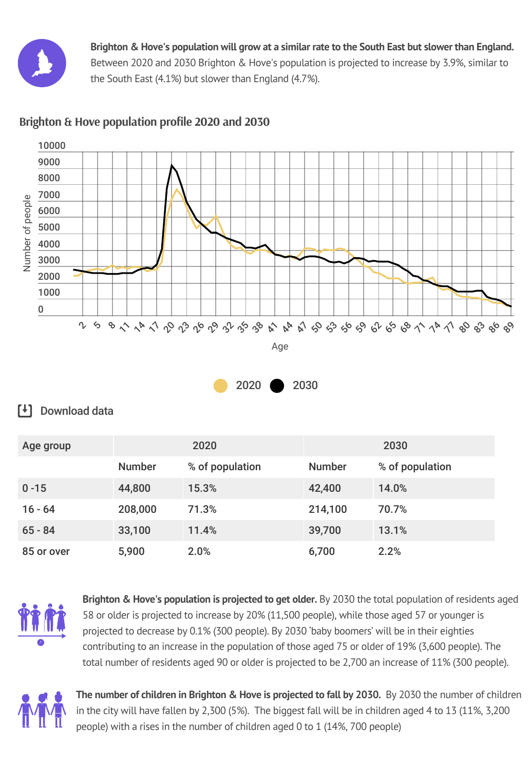

Brighton & Hove's population will grow at a similar rate to the South East but slower than England. Between 2020 and 2030 Brighton & Hove's population is projected to increase by 3.9%, similar to the South East (4.1%) but slower than England (4.7%).



### **Brighton & Hove [population](https://www.ons.gov.uk/peoplepopulationandcommunity/populationandmigration/populationprojections/bulletins/subnationalpopulationprojectionsforengland/2016based/relateddata?:uri=peoplepopulationandcommunity/populationandmigration/populationprojections/bulletins/subnationalpopulationprojectionsforengland/2016based/relateddata&page=1) profile 2020 and 2030**



### [<sup>↓</sup>] Download data

| Age group  | 2020          |                 | 2030          |                 |
|------------|---------------|-----------------|---------------|-----------------|
|            | <b>Number</b> | % of population | <b>Number</b> | % of population |
| $0 - 15$   | 44,800        | 15.3%           | 42,400        | 14.0%           |
| $16 - 64$  | 208,000       | 71.3%           | 214,100       | 70.7%           |
| $65 - 84$  | 33,100        | 11.4%           | 39,700        | 13.1%           |
| 85 or over | 5,900         | 2.0%            | 6,700         | 2.2%            |



**Brighton & Hove's population is projected to get older.** By 2030 the total population of residents aged 58 or older is projected to increase by 20% (11,500 people), while those aged 57 or younger is projected to decrease by 0.1% (300 people). By 2030 'baby boomers' will be in their eighties contributing to an increase in the population of those aged 75 or older of 19% (3,600 people). The total number of residents aged 90 or older is projected to be 2,700 an increase of 11% (300 people).



**The number of children in Brighton & Hove is projected to fall by 2030.** By 2030 the number of children in the city will have fallen by 2,300 (5%). The biggest fall will be in children aged 4 to 13 (11%, 3,200 people) with a rises in the number of children aged 0 to 1 (14%, 700 people)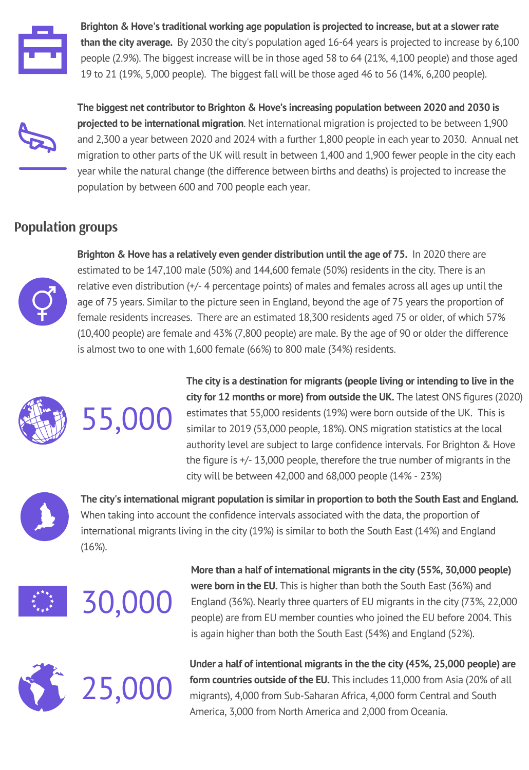

**Brighton & Hove's traditional working age population is projected to increase, but at a slower rate than the city average.** By 2030 the city's population aged 16-64 years is projected to increase by 6,100 people (2.9%). The biggest increase will be in those aged 58 to 64 (21%, 4,100 people) and those aged 19 to 21 (19%, 5,000 people). The biggest fall will be those aged 46 to 56 (14%, 6,200 people).



**The biggest net contributor to Brighton & Hove's increasing population between 2020 and 2030 is projected to be international migration**. Net international migration is projected to be between 1,900 and 2,300 a year between 2020 and 2024 with a further 1,800 people in each year to 2030. Annual net migration to other parts of the UK will result in between 1,400 and 1,900 fewer people in the city each year while the natural change (the difference between births and deaths) is projected to increase the population by between 600 and 700 people each year.

### **Population groups**



**Brighton & Hove has a relatively even gender distribution until the age of 75.** In 2020 there are estimated to be 147,100 male (50%) and 144,600 female (50%) residents in the city. There is an relative even distribution (+/- 4 percentage points) of males and females across all ages up until the age of 75 years. Similar to the picture seen in England, beyond the age of 75 years the proportion of female residents increases. There are an estimated 18,300 residents aged 75 or older, of which 57% (10,400 people) are female and 43% (7,800 people) are male. By the age of 90 or older the difference is almost two to one with 1,600 female (66%) to 800 male (34%) residents.



55,000

**The city is a destination for migrants (people living or intending to live in the city for 12 months or more) from outside the UK.** The latest ONS figures (2020) estimates that 55,000 residents (19%) were born outside of the UK. This is similar to 2019 (53,000 people, 18%). ONS migration statistics at the local authority level are subject to large confidence intervals. For Brighton & Hove the figure is +/- 13,000 people, therefore the true number of migrants in the city will be between 42,000 and 68,000 people (14% - 23%)



**The city's international migrant population is similar in proportion to both the South East and England.** When taking into account the confidence intervals associated with the data, the proportion of international migrants living in the city (19%) is similar to both the South East (14%) and England (16%).





**More than a half of international migrants in the city (55%, 30,000 people) were born in the EU.** This is higher than both the South East (36%) and England (36%). Nearly three quarters of EU migrants in the city (73%, 22,000 people) are from EU member counties who joined the EU before 2004. This is again higher than both the South East (54%) and England (52%).



**Under a half of intentional migrants in the the city (45%, 25,000 people) are form countries outside of the EU.** This includes 11,000 from Asia (20% of all migrants), 4,000 from Sub-Saharan Africa, 4,000 form Central and South America, 3,000 from North America and 2,000 from Oceania.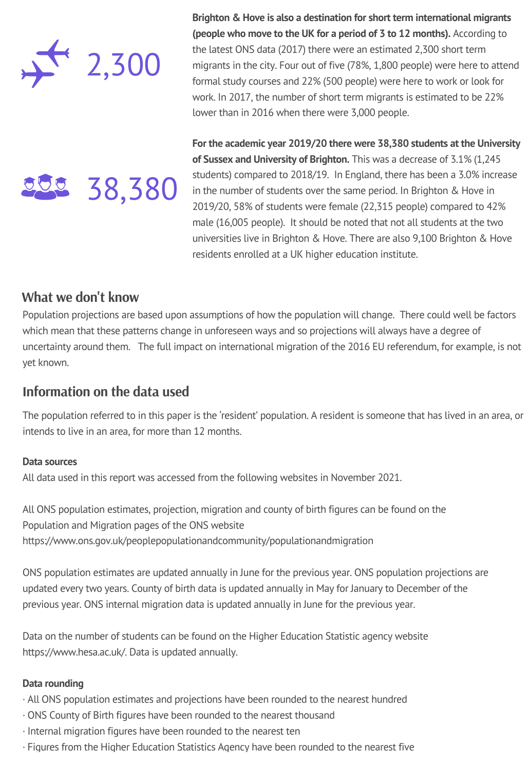

**Brighton & Hove is also a destination for short term international migrants (people who move to the UK for a period of 3 to 12 months).** According to the latest ONS data (2017) there were an estimated 2,300 short term migrants in the city. Four out of five (78%, 1,800 people) were here to attend formal study courses and 22% (500 people) were here to work or look for work. In 2017, the number of short term migrants is estimated to be 22% lower than in 2016 when there were 3,000 people.

38,380

**For the academic year 2019/20 there were 38,380 students at the University of Sussex and University of Brighton.** This was a decrease of 3.1% (1,245 students) compared to 2018/19. In England, there has been a 3.0% increase in the number of students over the same period. In Brighton & Hove in 2019/20, 58% of students were female (22,315 people) compared to 42% male (16,005 people). It should be noted that not all students at the two universities live in Brighton & Hove. There are also 9,100 Brighton & Hove residents enrolled at a UK higher education institute.

### **What we don't know**

Population projections are based upon assumptions of how the population will change. There could well be factors which mean that these patterns change in unforeseen ways and so projections will always have a degree of uncertainty around them. The full impact on international migration of the 2016 EU referendum, for example, is not yet known.

### **Information on the data used**

The population referred to in this paper is the 'resident' population. A resident is someone that has lived in an area, or intends to live in an area, for more than 12 months.

### **Data sources**

All data used in this report was accessed from the following websites in November 2021.

All ONS population estimates, projection, migration and county of birth figures can be found on the Population and Migration pages of the ONS website <https://www.ons.gov.uk/peoplepopulationandcommunity/populationandmigration>

ONS population estimates are updated annually in June for the previous year. ONS population projections are updated every two years. County of birth data is updated annually in May for January to December of the previous year. ONS internal migration data is updated annually in June for the previous year.

Data on the number of students can be found on the Higher Education Statistic agency website [https://www.hesa.ac.uk/.](https://www.hesa.ac.uk/) Data is updated annually.

### **Data rounding**

- · All ONS population estimates and projections have been rounded to the nearest hundred
- · ONS County of Birth figures have been rounded to the nearest thousand
- · Internal migration figures have been rounded to the nearest ten
- · Figures from the Higher Education Statistics Agency have been rounded to the nearest five